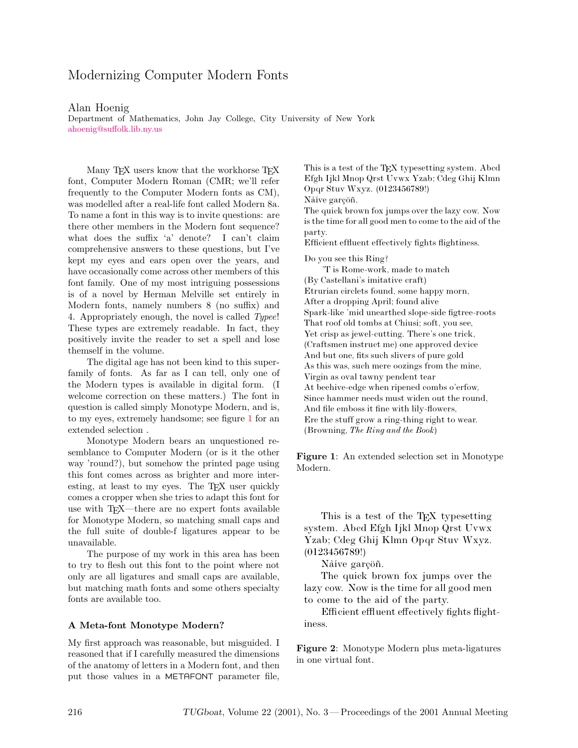# Modernizing Computer Modern Fonts

#### Alan Hoenig

[Department](mailto:ahoenig@suffolk.lib.ny.us) [of](mailto:ahoenig@suffolk.lib.ny.us) [Mathema](mailto:ahoenig@suffolk.lib.ny.us)tics, John Jay College, City University of New York  $\frac{1}{2}$ 

Many TFX users know that the workhorse TFX font, Computer Modern Roman (CMR; we'll refer frequently to the Computer Modern fonts as CM), was modelled after a real-life font called Modern 8a. To name a font in this way is to invite questions: are there other members in the Modern font sequence? what does the suffix 'a' denote? I can't claim comprehensive answers to these questions, but I've kept my eyes and ears open over the years, and have occasionally come across other members of this font family. One of my most intriguing possessions is of a novel by Herman Melville set entirely in Modern fonts, namely numbers 8 (no suffix) and 4. Appropriately enough, the novel is called *Typee*! These types are extremely readable. In fact, they positively invite the reader to set a spell and lose themself in the volume.

The digital age has not been kind to this superfamily of fonts. As far as I can tell, only one of the Modern types is available in digital form. (I welcome correction on these matters.) The font in question is called simply Monotype Modern, and is, to my eyes, extremely handsome; see figure [1](#page-0-0) for an extended selection .

Monotype Modern bears an unquestioned resemblance to Computer Modern (or is it the other way 'round?), but somehow the printed page using this font comes across as brighter and more interesting, at least to my eyes. The TFX user quickly comes a cropper when she tries to adapt this font for use with TEX—there are no expert fonts available for Monotype Modern, so matching small caps and the full suite of double-f ligatures appear to be unavailable.

The purpose of my work in this area has been to try to flesh out this font to the point where not only are all ligatures and small caps are available, but matching math fonts and some others specialty fonts are available too.

# **A Meta-font Monotype Modern?**

My first approach was reasonable, but misguided. I reasoned that if I carefully measured the dimensions of the anatomy of letters in a Modern font, and then put those values in a METAFONT parameter file,

This is a test of the TEX typesetting system. Abcd Efgh Ijkl Mnop Qrst Uvwx Yzab; Cdeg Ghij Klmn Opqr Stuv Wxyz. (0123456789!) Nàive garçöñ. The quick brown fox jumps over the lazy cow. Now

is the time for all good men to come to the aid of the party.

Efficient effluent effectively fights flightiness.

Do you see this Ring?

'T is Rome-work, made to match (By Castellani's imitative craft) Etrurian circlets found, some happy morn, After a dropping April; found alive Spark-like 'mid unearthed slope-side figtree-roots That roof old tombs at Chiusi; soft, you see, Yet crisp as jewel-cutting. There's one trick, (Craftsmen instruct me) one approved device And but one, fits such slivers of pure gold As this was, such mere oozings from the mine, Virgin as oval tawny pendent tear At beehive-edge when ripened combs o'erfow, Since hammer needs must widen out the round, And file emboss it fine with lily-flowers, Ere the stuff grow a ring-thing right to wear. (Browning, *The Ring and the Book*)

<span id="page-0-0"></span>**Figure 1**: An extended selection set in Monotype Modern.

This is a test of the T<sub>EX</sub> typesetting system. Abcd Efgh Ijkl Mnop Qrst Uvwx Yzab; Cdeg Ghij Klmn Opqr Stuv Wxyz. (0123456789!)

Nàive garçöñ.

The quick brown fox jumps over the lazy cow. Now is the time for all good men to come to the aid of the party.

Efficient effluent effectively fights flightiness.

<span id="page-0-1"></span>**Figure 2**: Monotype Modern plus meta-ligatures in one virtual font.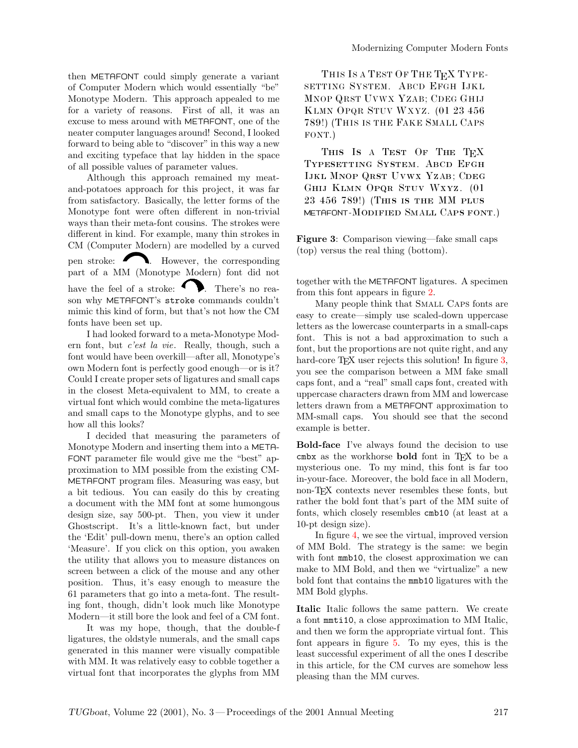then METAFONT could simply generate a variant of Computer Modern which would essentially "be" Monotype Modern. This approach appealed to me for a variety of reasons. First of all, it was an excuse to mess around with METAFONT, one of the neater computer languages around! Second, I looked forward to being able to "discover" in this way a new and exciting typeface that lay hidden in the space of all possible values of parameter values.

Although this approach remained my meatand-potatoes approach for this project, it was far from satisfactory. Basically, the letter forms of the Monotype font were often different in non-trivial ways than their meta-font cousins. The strokes were different in kind. For example, many thin strokes in CM (Computer Modern) are modelled by a curved pen stroke: **N**. However, the corresponding part of a MM (Monotype Modern) font did not have the feel of a stroke:  $\bullet$  . There's no reason why METAFONT's stroke commands couldn't mimicthis kind of form, but that's not how the CM fonts have been set up.

I had looked forward to a meta-Monotype Modern font, but *c'est la vie*. Really, though, such a font would have been overkill—after all, Monotype's own Modern font is perfectly good enough—or is it? Could I create proper sets of ligatures and small caps in the closest Meta-equivalent to MM, to create a virtual font which would combine the meta-ligatures and small caps to the Monotype glyphs, and to see how all this looks?

I decided that measuring the parameters of Monotype Modern and inserting them into a META-FONT parameter file would give me the "best" approximation to MM possible from the existing CM-METAFONT program files. Measuring was easy, but a bit tedious. You can easily do this by creating a document with the MM font at some humongous design size, say 500-pt. Then, you view it under Ghostscript. It's a little-known fact, but under the 'Edit' pull-down menu, there's an option called 'Measure'. If you click on this option, you awaken the utility that allows you to measure distances on screen between a click of the mouse and any other position. Thus, it's easy enough to measure the 61 parameters that go into a meta-font. The resulting font, though, didn't look much like Monotype Modern—it still bore the look and feel of a CM font.

It was my hope, though, that the double-f ligatures, the oldstyle numerals, and the small caps generated in this manner were visually compatible with MM. It was relatively easy to cobble together a virtual font that incorporates the glyphs from MM

THIS IS A TEST OF THE T<sub>E</sub>X TYPE-SETTING SYSTEM. ABCD EFGH IJKL MNOP QRST UVWX YZAB; CDEG GHIJ KLMN OPQR STUV WXYZ. (01 23 456 789!) (THIS IS THE FAKE SMALL CAPS FONT.)

THIS IS A TEST OF THE TEX Typesetting System. Abcd Efgh IJKL MNOP QRST UVWX YZAB; CDEG Ghij Klmn Opqr Stuv Wxyz. (01 23 456 789!) (This is the MMplus METAFONT-Modified SmAll CAps font.)

<span id="page-1-0"></span>**Figure 3**: Comparison viewing—fake small caps (top) versus the real thing (bottom).

together with the METAFONT ligatures. A specimen from this font appears in figure [2.](#page-0-1)

Many people think that SMALL CAPS fonts are easy to create—simply use scaled-down uppercase letters as the lowercase counterparts in a small-caps font. This is not a bad approximation to such a font, but the proportions are not quite right, and any hard-core TFX user rejects this solution! In figure [3,](#page-1-0) you see the comparison between a MM fake small caps font, and a "real" small caps font, created with uppercase characters drawn from MM and lowercase letters drawn from a METAFONT approximation to MM-small caps. You should see that the second example is better.

**Bold-face** I've always found the decision to use cmbx as the workhorse **bold** font in T<sub>E</sub>X to be a mysterious one. To my mind, this font is far too in-your-face. Moreover, the bold face in all Modern, non-TEX contexts never resembles these fonts, but rather the bold font that's part of the MM suite of fonts, which closely resembles cmb10 (at least at a 10-pt design size).

In figure [4,](#page-2-0) we see the virtual, improved version of MM Bold. The strategy is the same: we begin with font **mmb10**, the closest approximation we can make to MM Bold, and then we "virtualize" a new bold font that contains the mmb10 ligatures with the MM Bold glyphs.

**Italic** Italic follows the same pattern. We create a font mmti10, a close approximation to MM Italic, and then we form the appropriate virtual font. This font appears in figure [5.](#page-2-1) To my eyes, this is the least successful experiment of all the ones I describe in this article, for the CM curves are somehow less pleasing than the MM curves.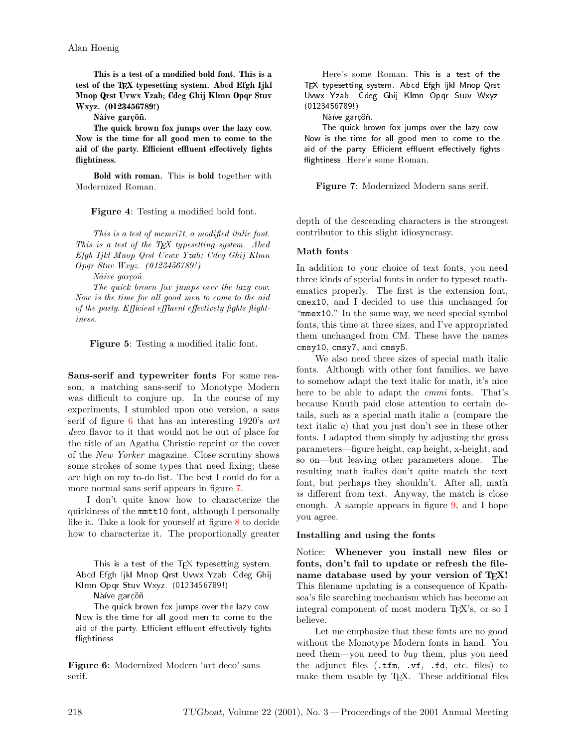**This is a test of a modified bold font. This is a** test of the T<sub>EX</sub> typesetting system. Abcd Efgh Ijkl **Mnop Qrst Uvwx Yzab; Cdeg Ghij Klmn Opqr Stuv Wxyz. (0123456789!)**

Naive garcöñ.

**The quick brown fox jumps over the lazy cow. Now is the time for all good men to come to the** aid of the party. Efficient effluent effectively fights **flightiness.**

**Bold with roman.** This is **bold** together with Modernized Roman.

**Figure 4**: Testing a modified bold font.

<span id="page-2-0"></span>*This is a test of mcmri7t, a modified italic font. This is a test of the TEX typesetting system. Abcd Efgh Ijkl Mnop Qrst Uvwx Yzab; Cdeg Ghij Klmn Opqr Stuv Wxyz. (0123456789!)*

*Naive garçöñ.* 

*The quick brown fox jumps over the lazy cow. Now is the time for all good men to come to the aid* of the party. Efficient effluent effectively fights flight*iness.*

<span id="page-2-1"></span>**Figure 5**: Testing a modified italic font.

**Sans-serif and typewriter fonts** For some reason, a matching sans-serif to Monotype Modern was difficult to conjure up. In the course of my experiments, I stumbled upon one version, a sans serif of figure [6](#page-2-2) that has an interesting 1920's *art deco* flavor to it that would not be out of place for the title of an Agatha Christie reprint or the cover of the *New Yorker* magazine. Close scrutiny shows some strokes of some types that need fixing; these are high on my to-do list. The best I could do for a more normal sans serif appears in figure [7.](#page-2-3)

I don't quite know how to characterize the quirkiness of the mmtt10 font, although I personally like it. Take a look for yourself at figure [8](#page-3-0) to decide how to characterize it. The proportionally greater

This is a test of the  $T_F X$  typesetting system. Abcd Efgh Ijkl Mnop Qrst Uvwx Yzab; Cdeg Ghij Klmn Opqr Stuv Wxyz. (0123456789!)

Nàíve garçöñ.

The quick brown fox jumps over the lazy cow. Now is the time for all good men to come to the aid of the party. Efficient effluent effectively fights flightiness.

<span id="page-2-2"></span>**Figure 6**: Modernized Modern 'art deco' sans serif.

Here's some Roman. This is a test of the TEX typesetting system. Abcd Efgh Ijkl Mnop Qrst Uvwx Yzab; Cdeg Ghij Klmn Opqr Stuv Wxyz. (0123456789!)

Nàive garcoñ.

The quick brown fox jumps over the lazy cow. Now is the time for all good men to come to the aid of the party. Efficient effluent effectively fights flightiness. Here's some Roman.

<span id="page-2-3"></span>**Figure 7**: Modernized Modern sans serif.

depth of the descending characters is the strongest contributor to this slight idiosyncrasy.

## **Math fonts**

In addition to your choice of text fonts, you need three kinds of special fonts in order to typeset mathematics properly. The first is the extension font, cmex10, and I decided to use this unchanged for "mmex10." In the same way, we need special symbol fonts, this time at three sizes, and I've appropriated them unchanged from CM. These have the names cmsy10, cmsy7, and cmsy5.

We also need three sizes of special math italic fonts. Although with other font families, we have to somehow adapt the text italic for math, it's nice here to be able to adapt the *cmmi* fonts. That's because Knuth paid close attention to certain details, such as a special math italic *a* (compare the text italic *a*) that you just don't see in these other fonts. I adapted them simply by adjusting the gross parameters—figure height, cap height, x-height, and so on—but leaving other parameters alone. The resulting math italics don't quite match the text font, but perhaps they shouldn't. After all, math *is* different from text. Anyway, the match is close enough. A sample appears in figure [9,](#page-3-1) and I hope you agree.

#### **Installing and using the fonts**

Notice: **Whenever you install new files or fonts, don't fail to update or refresh the filename database used by your version of TEX!** This filename updating is a consequence of Kpathsea's file searching mechanism which has become an integral component of most modern TEX's, or so I believe.

Let me emphasize that these fonts are no good without the Monotype Modern fonts in hand. You need them—you need to *buy* them, plus you need the adjunct files (.tfm, .vf, .fd, etc. files) to make them usable by T<sub>F</sub>X. These additional files